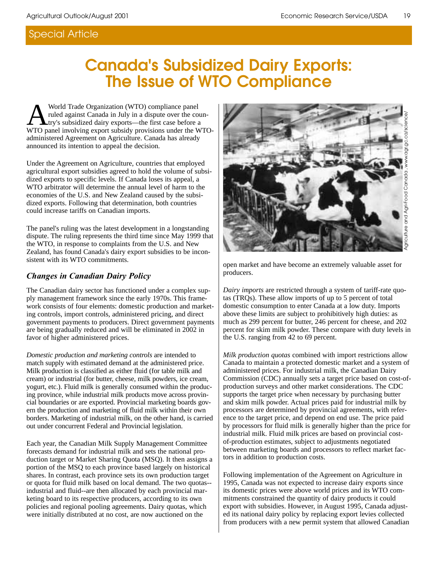# **Canada's Subsidized Dairy Exports: The Issue of WTO Compliance**

World Trade Organization (WTO) compliance panel<br>ruled against Canada in July in a dispute over the co<br>WTO panel involving export subsidy provisions under the N ruled against Canada in July in a dispute over the country's subsidized dairy exports—the first case before a WTO panel involving export subsidy provisions under the WTOadministered Agreement on Agriculture. Canada has already announced its intention to appeal the decision.

Under the Agreement on Agriculture, countries that employed agricultural export subsidies agreed to hold the volume of subsidized exports to specific levels. If Canada loses its appeal, a WTO arbitrator will determine the annual level of harm to the economies of the U.S. and New Zealand caused by the subsidized exports. Following that determination, both countries could increase tariffs on Canadian imports.

The panel's ruling was the latest development in a longstanding dispute. The ruling represents the third time since May 1999 that the WTO, in response to complaints from the U.S. and New Zealand, has found Canada's dairy export subsidies to be inconsistent with its WTO commitments.

#### *Changes in Canadian Dairy Policy*

The Canadian dairy sector has functioned under a complex supply management framework since the early 1970s. This framework consists of four elements: domestic production and marketing controls, import controls, administered pricing, and direct government payments to producers. Direct government payments are being gradually reduced and will be eliminated in 2002 in favor of higher administered prices.

*Domestic production and marketing controls* are intended to match supply with estimated demand at the administered price. Milk production is classified as either fluid (for table milk and cream) or industrial (for butter, cheese, milk powders, ice cream, yogurt, etc.). Fluid milk is generally consumed within the producing province, while industrial milk products move across provincial boundaries or are exported. Provincial marketing boards govern the production and marketing of fluid milk within their own borders. Marketing of industrial milk, on the other hand, is carried out under concurrent Federal and Provincial legislation.

Each year, the Canadian Milk Supply Management Committee forecasts demand for industrial milk and sets the national production target or Market Sharing Quota (MSQ). It then assigns a portion of the MSQ to each province based largely on historical shares. In contrast, each province sets its own production target or quota for fluid milk based on local demand. The two quotas- industrial and fluid--are then allocated by each provincial marketing board to its respective producers, according to its own policies and regional pooling agreements. Dairy quotas, which were initially distributed at no cost, are now auctioned on the



producers.

*Dairy imports* are restricted through a system of tariff-rate quotas (TRQs). These allow imports of up to 5 percent of total domestic consumption to enter Canada at a low duty. Imports above these limits are subject to prohibitively high duties: as much as 299 percent for butter, 246 percent for cheese, and 202 percent for skim milk powder. These compare with duty levels in the U.S. ranging from 42 to 69 percent.

*Milk production quotas* combined with import restrictions allow Canada to maintain a protected domestic market and a system of administered prices. For industrial milk, the Canadian Dairy Commission (CDC) annually sets a target price based on cost-ofproduction surveys and other market considerations. The CDC supports the target price when necessary by purchasing butter and skim milk powder. Actual prices paid for industrial milk by processors are determined by provincial agreements, with reference to the target price, and depend on end use. The price paid by processors for fluid milk is generally higher than the price for industrial milk. Fluid milk prices are based on provincial costof-production estimates, subject to adjustments negotiated between marketing boards and processors to reflect market factors in addition to production costs.

Following implementation of the Agreement on Agriculture in 1995, Canada was not expected to increase dairy exports since its domestic prices were above world prices and its WTO commitments constrained the quantity of dairy products it could export with subsidies. However, in August 1995, Canada adjusted its national dairy policy by replacing export levies collected from producers with a new permit system that allowed Canadian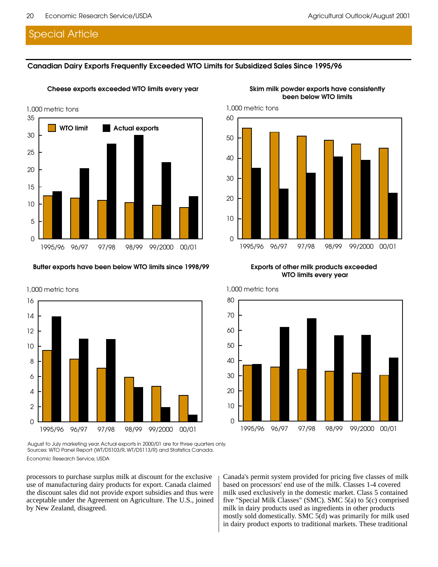#### **Canadian Dairy Exports Frequently Exceeded WTO Limits for Subsidized Sales Since 1995/96**

**Cheese exports exceeded WTO limits every year**



#### **Butter exports have been below WTO limits since 1998/99**



Economic Research Service, USDA August to July marketing year. Actual exports in 2000/01 are for three quarters only. Sources: WTO Panel Report (WT/DS103/R, WT/DS113/R) and Statistics Canada.

processors to purchase surplus milk at discount for the exclusive use of manufacturing dairy products for export. Canada claimed the discount sales did not provide export subsidies and thus were acceptable under the Agreement on Agriculture. The U.S., joined by New Zealand, disagreed.

Canada's permit system provided for pricing five classes of milk based on processors' end use of the milk. Classes 1-4 covered milk used exclusively in the domestic market. Class 5 contained five "Special Milk Classes" (SMC). SMC 5(a) to 5(c) comprised milk in dairy products used as ingredients in other products mostly sold domestically. SMC 5(d) was primarily for milk used in dairy product exports to traditional markets. These traditional

#### **Skim milk powder exports have consistently been below WTO limits**



**Exports of other milk products exceeded WTO limits every year**

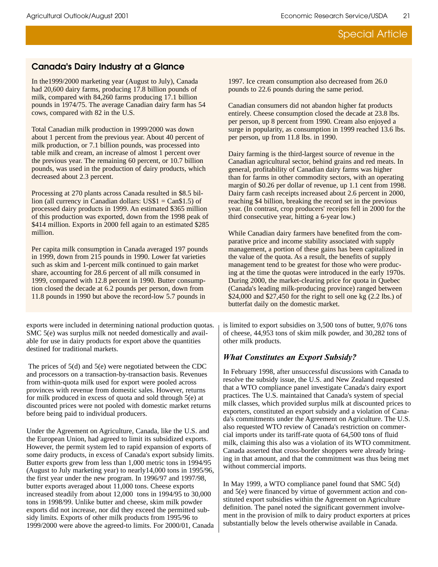# **Canada's Dairy Industry at a Glance**

In the1999/2000 marketing year (August to July), Canada had 20,600 dairy farms, producing 17.8 billion pounds of milk, compared with 84,260 farms producing 17.1 billion pounds in 1974/75. The average Canadian dairy farm has 54 cows, compared with 82 in the U.S.

Total Canadian milk production in 1999/2000 was down about 1 percent from the previous year. About 40 percent of milk production, or 7.1 billion pounds, was processed into table milk and cream, an increase of almost 1 percent over the previous year. The remaining 60 percent, or 10.7 billion pounds, was used in the production of dairy products, which decreased about 2.3 percent.

Processing at 270 plants across Canada resulted in \$8.5 billion (all currency in Canadian dollars: US\$1 = Can\$1.5) of processed dairy products in 1999. An estimated \$365 million of this production was exported, down from the 1998 peak of \$414 million. Exports in 2000 fell again to an estimated \$285 million.

Per capita milk consumption in Canada averaged 197 pounds in 1999, down from 215 pounds in 1990. Lower fat varieties such as skim and 1-percent milk continued to gain market share, accounting for 28.6 percent of all milk consumed in 1999, compared with 12.8 percent in 1990. Butter consumption closed the decade at 6.2 pounds per person, down from 11.8 pounds in 1990 but above the record-low 5.7 pounds in

exports were included in determining national production quotas. SMC 5(e) was surplus milk not needed domestically and available for use in dairy products for export above the quantities destined for traditional markets.

The prices of 5(d) and 5(e) were negotiated between the CDC and processors on a transaction-by-transaction basis. Revenues from within-quota milk used for export were pooled across provinces with revenue from domestic sales. However, returns for milk produced in excess of quota and sold through 5(e) at discounted prices were not pooled with domestic market returns before being paid to individual producers.

Under the Agreement on Agriculture, Canada, like the U.S. and the European Union, had agreed to limit its subsidized exports. However, the permit system led to rapid expansion of exports of some dairy products, in excess of Canada's export subsidy limits. Butter exports grew from less than 1,000 metric tons in 1994/95 (August to July marketing year) to nearly14,000 tons in 1995/96, the first year under the new program. In 1996/97 and 1997/98, butter exports averaged about 11,000 tons. Cheese exports increased steadily from about 12,000 tons in 1994/95 to 30,000 tons in 1998/99. Unlike butter and cheese, skim milk powder exports did not increase, nor did they exceed the permitted subsidy limits. Exports of other milk products from 1995/96 to 1999/2000 were above the agreed-to limits. For 2000/01, Canada

1997. Ice cream consumption also decreased from 26.0 pounds to 22.6 pounds during the same period.

Canadian consumers did not abandon higher fat products entirely. Cheese consumption closed the decade at 23.8 lbs. per person, up 8 percent from 1990. Cream also enjoyed a surge in popularity, as consumption in 1999 reached 13.6 lbs. per person, up from 11.8 lbs. in 1990.

Dairy farming is the third-largest source of revenue in the Canadian agricultural sector, behind grains and red meats. In general, profitability of Canadian dairy farms was higher than for farms in other commodity sectors, with an operating margin of \$0.26 per dollar of revenue, up 1.1 cent from 1998. Dairy farm cash receipts increased about 2.6 percent in 2000, reaching \$4 billion, breaking the record set in the previous year. (In contrast, crop producers' receipts fell in 2000 for the third consecutive year, hitting a 6-year low.)

While Canadian dairy farmers have benefited from the comparative price and income stability associated with supply management, a portion of these gains has been capitalized in the value of the quota. As a result, the benefits of supply management tend to be greatest for those who were producing at the time the quotas were introduced in the early 1970s. During 2000, the market-clearing price for quota in Quebec (Canada's leading milk-producing province) ranged between \$24,000 and \$27,450 for the right to sell one kg (2.2 lbs.) of butterfat daily on the domestic market.

is limited to export subsidies on 3,500 tons of butter, 9,076 tons of cheese, 44,953 tons of skim milk powder, and 30,282 tons of other milk products.

## **What Constitutes an Export Subsidy?**

In February 1998, after unsuccessful discussions with Canada to resolve the subsidy issue, the U.S. and New Zealand requested that a WTO compliance panel investigate Canada's dairy export practices. The U.S. maintained that Canada's system of special milk classes, which provided surplus milk at discounted prices to exporters, constituted an export subsidy and a violation of Canada's commitments under the Agreement on Agriculture. The U.S. also requested WTO review of Canada's restriction on commercial imports under its tariff-rate quota of 64,500 tons of fluid milk, claiming this also was a violation of its WTO commitment. Canada asserted that cross-border shoppers were already bringing in that amount, and that the commitment was thus being met without commercial imports.

In May 1999, a WTO compliance panel found that SMC 5(d) and 5(e) were financed by virtue of government action and constituted export subsidies within the Agreement on Agriculture definition. The panel noted the significant government involvement in the provision of milk to dairy product exporters at prices substantially below the levels otherwise available in Canada.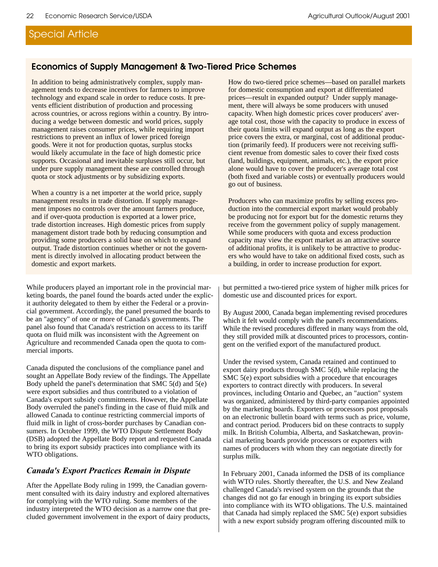### **Economics of Supply Management & Two-Tiered Price Schemes**

In addition to being administratively complex, supply management tends to decrease incentives for farmers to improve technology and expand scale in order to reduce costs. It prevents efficient distribution of production and processing across countries, or across regions within a country. By introducing a wedge between domestic and world prices, supply management raises consumer prices, while requiring import restrictions to prevent an influx of lower priced foreign goods. Were it not for production quotas, surplus stocks would likely accumulate in the face of high domestic price supports. Occasional and inevitable surpluses still occur, but under pure supply management these are controlled through quota or stock adjustments or by subsidizing exports.

When a country is a net importer at the world price, supply management results in trade distortion. If supply management imposes no controls over the amount farmers produce, and if over-quota production is exported at a lower price, trade distortion increases. High domestic prices from supply management distort trade both by reducing consumption and providing some producers a solid base on which to expand output. Trade distortion continues whether or not the government is directly involved in allocating product between the domestic and export markets.

While producers played an important role in the provincial marketing boards, the panel found the boards acted under the explicit authority delegated to them by either the Federal or a provincial government. Accordingly, the panel presumed the boards to be an "agency" of one or more of Canada's governments. The panel also found that Canada's restriction on access to its tariff quota on fluid milk was inconsistent with the Agreement on Agriculture and recommended Canada open the quota to commercial imports.

Canada disputed the conclusions of the compliance panel and sought an Appellate Body review of the findings. The Appellate Body upheld the panel's determination that SMC 5(d) and 5(e) were export subsidies and thus contributed to a violation of Canada's export subsidy commitments. However, the Appellate Body overruled the panel's finding in the case of fluid milk and allowed Canada to continue restricting commercial imports of fluid milk in light of cross-border purchases by Canadian consumers. In October 1999, the WTO Dispute Settlement Body (DSB) adopted the Appellate Body report and requested Canada to bring its export subsidy practices into compliance with its WTO obligations.

#### **Canada's Export Practices Remain in Dispute**

After the Appellate Body ruling in 1999, the Canadian government consulted with its dairy industry and explored alternatives for complying with the WTO ruling. Some members of the industry interpreted the WTO decision as a narrow one that precluded government involvement in the export of dairy products, How do two-tiered price schemes—based on parallel markets for domestic consumption and export at differentiated prices—result in expanded output? Under supply management, there will always be some producers with unused capacity. When high domestic prices cover producers' average total cost, those with the capacity to produce in excess of their quota limits will expand output as long as the export price covers the extra, or marginal, cost of additional production (primarily feed). If producers were not receiving sufficient revenue from domestic sales to cover their fixed costs (land, buildings, equipment, animals, etc.), the export price alone would have to cover the producer's average total cost (both fixed and variable costs) or eventually producers would go out of business.

Producers who can maximize profits by selling excess production into the commercial export market would probably be producing not for export but for the domestic returns they receive from the government policy of supply management. While some producers with quota and excess production capacity may view the export market as an attractive source of additional profits, it is unlikely to be attractive to producers who would have to take on additional fixed costs, such as a building, in order to increase production for export.

but permitted a two-tiered price system of higher milk prices for domestic use and discounted prices for export.

By August 2000, Canada began implementing revised procedures which it felt would comply with the panel's recommendations. While the revised procedures differed in many ways from the old, they still provided milk at discounted prices to processors, contingent on the verified export of the manufactured product.

Under the revised system, Canada retained and continued to export dairy products through SMC 5(d), while replacing the SMC 5(e) export subsidies with a procedure that encourages exporters to contract directly with producers. In several provinces, including Ontario and Quebec, an "auction" system was organized, administered by third-party companies appointed by the marketing boards. Exporters or processors post proposals on an electronic bulletin board with terms such as price, volume, and contract period. Producers bid on these contracts to supply milk. In British Columbia, Alberta, and Saskatchewan, provincial marketing boards provide processors or exporters with names of producers with whom they can negotiate directly for surplus milk.

In February 2001, Canada informed the DSB of its compliance with WTO rules. Shortly thereafter, the U.S. and New Zealand challenged Canada's revised system on the grounds that the changes did not go far enough in bringing its export subsidies into compliance with its WTO obligations. The U.S. maintained that Canada had simply replaced the SMC 5(e) export subsidies with a new export subsidy program offering discounted milk to